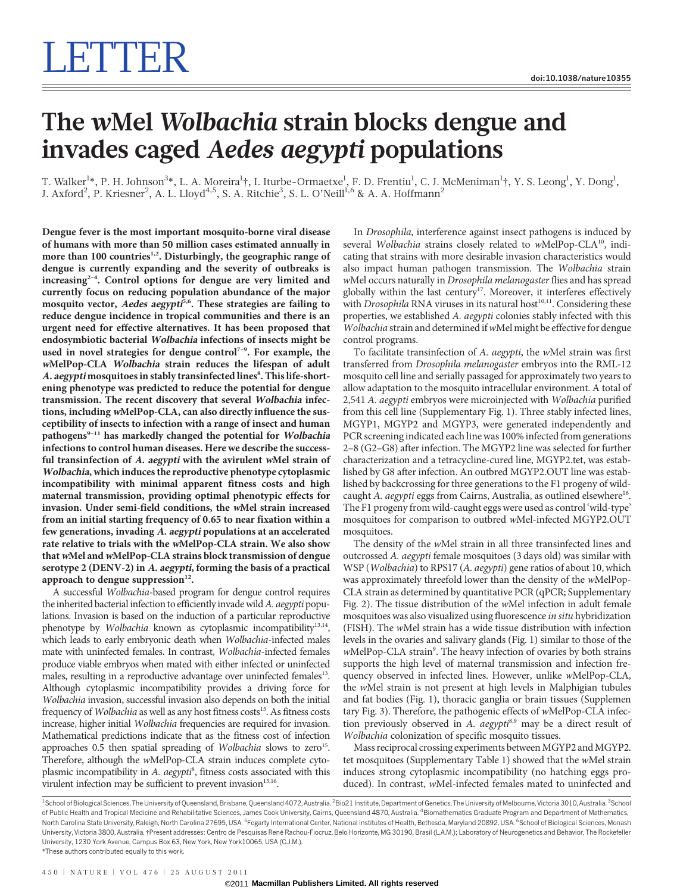# The wMel Wolbachia strain blocks dengue and invades caged Aedes aegypti populations

T. Walker $^{1*}$ , P. H. Johnson $^{3*}$ , L. A. Moreira $^{1}$ †, I. Iturbe-Ormaetxe $^{1}$ , F. D. Frentiu $^{1}$ , C. J. McMeniman $^{1}$ †, Y. S. Leong $^{1}$ , Y. Dong $^{1}$ , J. Axford<sup>2</sup>, P. Kriesner<sup>2</sup>, A. L. Lloyd<sup>4,5</sup>, S. A. Ritchie<sup>3</sup>, S. L. O'Neill<sup>1,6</sup> & A. A. Hoffmann<sup>2</sup>

Dengue fever is the most important mosquito-borne viral disease of humans with more than 50 million cases estimated annually in more than 100 countries<sup>1,2</sup>. Disturbingly, the geographic range of dengue is currently expanding and the severity of outbreaks is increasing<sup>2-4</sup>. Control options for dengue are very limited and currently focus on reducing population abundance of the major mosquito vector, Aedes aegypti<sup>5,6</sup>. These strategies are failing to reduce dengue incidence in tropical communities and there is an urgent need for effective alternatives. It has been proposed that endosymbiotic bacterial Wolbachia infections of insects might be used in novel strategies for dengue control<sup>7-9</sup>. For example, the <sup>w</sup>MelPop-CLA Wolbachia strain reduces the lifespan of adult A. aegypti mosquitoes in stably transinfected lines8. This life-shortening phenotype was predicted to reduce the potential for dengue transmission. The recent discovery that several Wolbachia infections, including <sup>w</sup>MelPop-CLA, can also directly influence the susceptibility of insects to infection with a range of insect and human pathogens<sup>9-11</sup> has markedly changed the potential for Wolbachia infections to control human diseases. Here we describe the successful transinfection of A. aegypti with the avirulent <sup>w</sup>Mel strain of Wolbachia, which induces the reproductive phenotype cytoplasmic incompatibility with minimal apparent fitness costs and high maternal transmission, providing optimal phenotypic effects for invasion. Under semi-field conditions, the <sup>w</sup>Mel strain increased from an initial starting frequency of 0.65 to near fixation within a few generations, invading A. aegypti populations at an accelerated rate relative to trials with the <sup>w</sup>MelPop-CLA strain. We also show that wMel and wMelPop-CLA strains block transmission of dengue serotype 2 (DENV-2) in A. aegypti, forming the basis of a practical approach to dengue suppression $^{12}$ .

A successful Wolbachia-based program for dengue control requires the inherited bacterial infection to efficiently invade wild A. aegypti populations. Invasion is based on the induction of a particular reproductive phenotype by Wolbachia known as cytoplasmic incompatibility<sup>13,14</sup>, which leads to early embryonic death when Wolbachia-infected males mate with uninfected females. In contrast, Wolbachia-infected females produce viable embryos when mated with either infected or uninfected males, resulting in a reproductive advantage over uninfected females<sup>13</sup>. Although cytoplasmic incompatibility provides a driving force for Wolbachia invasion, successful invasion also depends on both the initial frequency of *Wolbachia* as well as any host fitness costs<sup>15</sup>. As fitness costs increase, higher initial Wolbachia frequencies are required for invasion. Mathematical predictions indicate that as the fitness cost of infection approaches  $0.5$  then spatial spreading of Wolbachia slows to zero<sup>15</sup>. Therefore, although the wMelPop-CLA strain induces complete cytoplasmic incompatibility in A. aegypti<sup>8</sup>, fitness costs associated with this virulent infection may be sufficient to prevent invasion $15,16$ .

In Drosophila, interference against insect pathogens is induced by several Wolbachia strains closely related to wMelPop-CLA<sup>10</sup>, indicating that strains with more desirable invasion characteristics would also impact human pathogen transmission. The Wolbachia strain wMel occurs naturally in Drosophila melanogaster flies and has spread globally within the last century<sup>17</sup>. Moreover, it interferes effectively with *Drosophila* RNA viruses in its natural host<sup>10,11</sup>. Considering these properties, we established A. aegypti colonies stably infected with this  $W$ olbachia strain and determined if wMel might be effective for dengue control programs.

To facilitate transinfection of A. aegypti, the wMel strain was first transferred from Drosophila melanogaster embryos into the RML-12 mosquito cell line and serially passaged for approximately two years to allow adaptation to the mosquito intracellular environment. A total of 2,541 A. aegypti embryos were microinjected with Wolbachia purified from this cell line (Supplementary Fig. 1). Three stably infected lines, MGYP1, MGYP2 and MGYP3, were generated independently and PCR screening indicated each line was 100% infected from generations 2–8 (G2–G8) after infection. The MGYP2 line was selected for further characterization and a tetracycline-cured line, MGYP2.tet, was established by G8 after infection. An outbred MGYP2.OUT line was established by backcrossing for three generations to the F1 progeny of wildcaught A. aegypti eggs from Cairns, Australia, as outlined elsewhere<sup>16</sup>. The F1 progeny from wild-caught eggs were used as control 'wild-type' mosquitoes for comparison to outbred wMel-infected MGYP2.OUT mosquitoes.

The density of the wMel strain in all three transinfected lines and outcrossed A. aegypti female mosquitoes (3 days old) was similar with WSP (Wolbachia) to RPS17 (A. aegypti) gene ratios of about 10, which was approximately threefold lower than the density of the wMelPop-CLA strain as determined by quantitative PCR (qPCR; Supplementary Fig. 2). The tissue distribution of the wMel infection in adult female mosquitoes was also visualized using fluorescence in situ hybridization (FISH). The wMel strain has a wide tissue distribution with infection levels in the ovaries and salivary glands (Fig. 1) similar to those of the wMelPop-CLA strain<sup>9</sup>. The heavy infection of ovaries by both strains supports the high level of maternal transmission and infection frequency observed in infected lines. However, unlike wMelPop-CLA, the wMel strain is not present at high levels in Malphigian tubules and fat bodies (Fig. 1), thoracic ganglia or brain tissues (Supplemen tary Fig. 3). Therefore, the pathogenic effects of wMelPop-CLA infection previously observed in A. aegypti<sup>8,9</sup> may be a direct result of Wolbachia colonization of specific mosquito tissues.

Mass reciprocal crossing experiments between MGYP2 and MGYP2. tet mosquitoes (Supplementary Table 1) showed that the wMel strain induces strong cytoplasmic incompatibility (no hatching eggs produced). In contrast, wMel-infected females mated to uninfected and

450 | NATURE | VOL 476 | 25 AUGUST 2011

<sup>&</sup>lt;sup>1</sup>School of Biological Sciences, The University of Queensland, Brisbane, Queensland 4072, Australia. <sup>2</sup>Bio21 Institute, Department of Genetics, The University of Melbourne, Victoria 3010, Australia. <sup>3</sup>Schoo of Public Health and Tropical Medicine and Rehabilitative Sciences, James Cook University, Cairns, Queensland 4870, Australia. <sup>4</sup>Biomathematics Graduate Program and Department of Mathematics North Carolina State University, Raleigh, North Carolina 27695, USA. <sup>5</sup>Fogarty International Center, National Institutes of Health, Bethesda, Maryland 20892, USA. <sup>6</sup>School of Biological Sciences, Monash University, Victoria 3800, Australia. †Present addresses: Centro de Pesquisas René Rachou-Fiocruz, Belo Horizonte, MG 30190, Brasil (L.A.M.); Laboratory of Neurogenetics and Behavior, The Rockefeller University, 1230 York Avenue, Campus Box 63, New York, New York10065, USA (C.J.M.). \*These authors contributed equally to this work.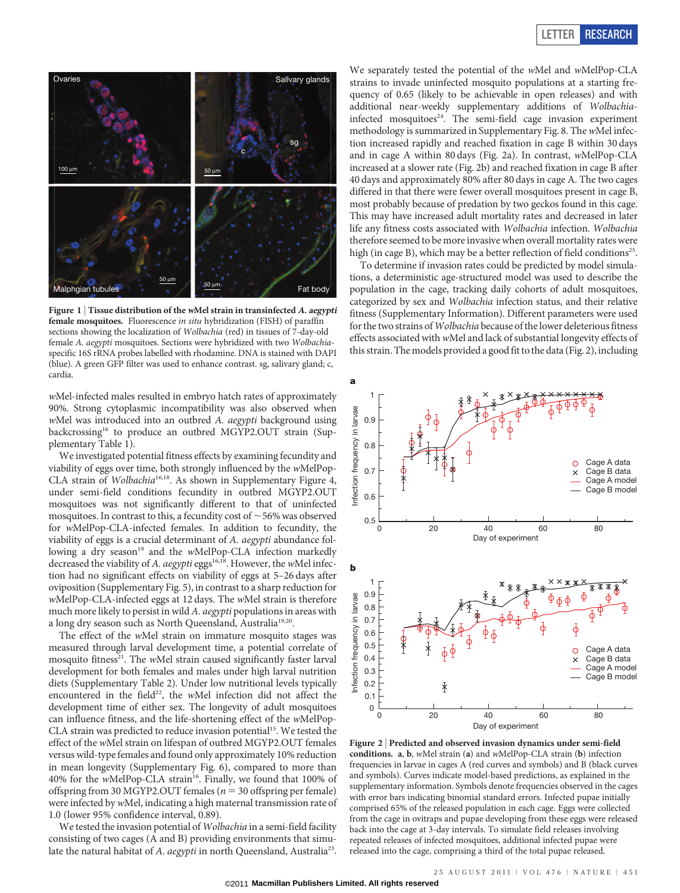## LETTER RESEARCH



Figure 1 | Tissue distribution of the wMel strain in transinfected  $A$ . aegypti female mosquitoes. Fluorescence in situ hybridization (FISH) of paraffin sections showing the localization of Wolbachia (red) in tissues of 7-day-old female A. aegypti mosquitoes. Sections were hybridized with two Wolbachiaspecific 16S rRNA probes labelled with rhodamine. DNA is stained with DAPI (blue). A green GFP filter was used to enhance contrast. sg, salivary gland; c, cardia.

wMel-infected males resulted in embryo hatch rates of approximately 90%. Strong cytoplasmic incompatibility was also observed when wMel was introduced into an outbred A. aegypti background using backcrossing<sup>16</sup> to produce an outbred MGYP2.OUT strain (Supplementary Table 1).

We investigated potential fitness effects by examining fecundity and viability of eggs over time, both strongly influenced by the wMelPop-CLA strain of Wolbachia<sup>16,18</sup>. As shown in Supplementary Figure 4, under semi-field conditions fecundity in outbred MGYP2.OUT mosquitoes was not significantly different to that of uninfected mosquitoes. In contrast to this, a fecundity cost of  $\sim$  56% was observed for wMelPop-CLA-infected females. In addition to fecundity, the viability of eggs is a crucial determinant of A. aegypti abundance following a dry season<sup>19</sup> and the wMelPop-CLA infection markedly decreased the viability of A. aegypti eggs<sup>16,18</sup>. However, the wMel infection had no significant effects on viability of eggs at 5–26 days after oviposition (Supplementary Fig. 5), in contrast to a sharp reduction for wMelPop-CLA-infected eggs at 12 days. The wMel strain is therefore much more likely to persist in wild A. aegypti populations in areas with a long dry season such as North Queensland, Australia<sup>19,20</sup>.

The effect of the wMel strain on immature mosquito stages was measured through larval development time, a potential correlate of mosquito fitness<sup>21</sup>. The wMel strain caused significantly faster larval development for both females and males under high larval nutrition diets (Supplementary Table 2). Under low nutritional levels typically encountered in the field<sup>22</sup>, the wMel infection did not affect the development time of either sex. The longevity of adult mosquitoes can influence fitness, and the life-shortening effect of the wMelPop-CLA strain was predicted to reduce invasion potential<sup>15</sup>. We tested the effect of the wMel strain on lifespan of outbred MGYP2.OUT females versus wild-type females and found only approximately 10% reduction in mean longevity (Supplementary Fig. 6), compared to more than 40% for the wMelPop-CLA strain<sup>16</sup>. Finally, we found that 100% of offspring from 30 MGYP2.OUT females ( $n = 30$  offspring per female) were infected by wMel, indicating a high maternal transmission rate of 1.0 (lower 95% confidence interval, 0.89).

We tested the invasion potential of Wolbachia in a semi-field facility consisting of two cages (A and B) providing environments that simulate the natural habitat of A. aegypti in north Queensland, Australia<sup>23</sup>.

We separately tested the potential of the wMel and wMelPop-CLA strains to invade uninfected mosquito populations at a starting frequency of 0.65 (likely to be achievable in open releases) and with additional near-weekly supplementary additions of Wolbachiainfected mosquitoes<sup>24</sup>. The semi-field cage invasion experiment methodology is summarized in Supplementary Fig. 8. The wMel infection increased rapidly and reached fixation in cage B within 30 days and in cage A within 80 days (Fig. 2a). In contrast, wMelPop-CLA increased at a slower rate (Fig. 2b) and reached fixation in cage B after 40 days and approximately 80% after 80 days in cage A. The two cages differed in that there were fewer overall mosquitoes present in cage B, most probably because of predation by two geckos found in this cage. This may have increased adult mortality rates and decreased in later life any fitness costs associated with Wolbachia infection. Wolbachia therefore seemed to be more invasive when overall mortality rates were high (in cage B), which may be a better reflection of field conditions<sup>25</sup>.

To determine if invasion rates could be predicted by model simulations, a deterministic age-structured model was used to describe the population in the cage, tracking daily cohorts of adult mosquitoes, categorized by sex and Wolbachia infection status, and their relative fitness (Supplementary Information). Different parameters were used for the two strains of Wolbachia because of the lower deleterious fitness effects associated with wMel and lack of substantial longevity effects of this strain. The models provided a good fit to the data (Fig. 2), including



Figure 2 <sup>|</sup> Predicted and observed invasion dynamics under semi-field conditions. a, b, wMel strain (a) and wMelPop-CLA strain (b) infection frequencies in larvae in cages A (red curves and symbols) and B (black curves and symbols). Curves indicate model-based predictions, as explained in the supplementary information. Symbols denote frequencies observed in the cages with error bars indicating binomial standard errors. Infected pupae initially comprised 65% of the released population in each cage. Eggs were collected from the cage in ovitraps and pupae developing from these eggs were released back into the cage at 3-day intervals. To simulate field releases involving repeated releases of infected mosquitoes, additional infected pupae were released into the cage, comprising a third of the total pupae released.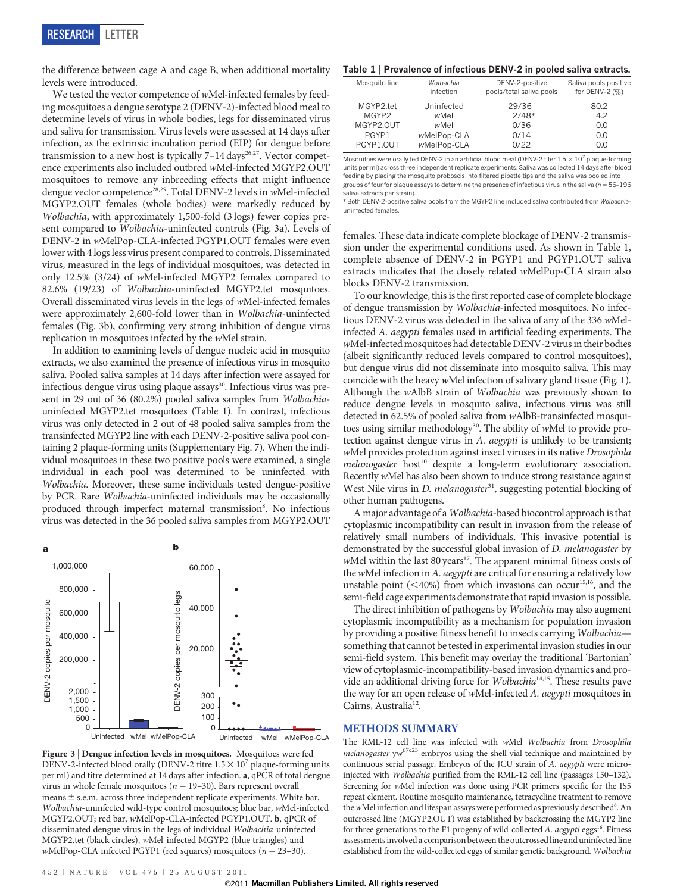the difference between cage A and cage B, when additional mortality levels were introduced.

We tested the vector competence of wMel-infected females by feeding mosquitoes a dengue serotype 2 (DENV-2)-infected blood meal to determine levels of virus in whole bodies, legs for disseminated virus and saliva for transmission. Virus levels were assessed at 14 days after infection, as the extrinsic incubation period (EIP) for dengue before transmission to a new host is typically  $7-14 \text{ days}^{26,27}$ . Vector competence experiments also included outbred wMel-infected MGYP2.OUT mosquitoes to remove any inbreeding effects that might influence dengue vector competence<sup>28,29</sup>. Total DENV-2 levels in wMel-infected MGYP2.OUT females (whole bodies) were markedly reduced by Wolbachia, with approximately 1,500-fold (3 logs) fewer copies present compared to Wolbachia-uninfected controls (Fig. 3a). Levels of DENV-2 in wMelPop-CLA-infected PGYP1.OUT females were even lower with 4 logs less virus present compared to controls. Disseminated virus, measured in the legs of individual mosquitoes, was detected in only 12.5% (3/24) of wMel-infected MGYP2 females compared to 82.6% (19/23) of Wolbachia-uninfected MGYP2.tet mosquitoes. Overall disseminated virus levels in the legs of wMel-infected females were approximately 2,600-fold lower than in Wolbachia-uninfected females (Fig. 3b), confirming very strong inhibition of dengue virus replication in mosquitoes infected by the wMel strain.

In addition to examining levels of dengue nucleic acid in mosquito extracts, we also examined the presence of infectious virus in mosquito saliva. Pooled saliva samples at 14 days after infection were assayed for infectious dengue virus using plaque assays<sup>30</sup>. Infectious virus was present in 29 out of 36 (80.2%) pooled saliva samples from Wolbachiauninfected MGYP2.tet mosquitoes (Table 1). In contrast, infectious virus was only detected in 2 out of 48 pooled saliva samples from the transinfected MGYP2 line with each DENV-2-positive saliva pool containing 2 plaque-forming units (Supplementary Fig. 7). When the individual mosquitoes in these two positive pools were examined, a single individual in each pool was determined to be uninfected with Wolbachia. Moreover, these same individuals tested dengue-positive by PCR. Rare Wolbachia-uninfected individuals may be occasionally produced through imperfect maternal transmission<sup>8</sup>. No infectious virus was detected in the 36 pooled saliva samples from MGYP2.OUT



Figure 3 <sup>|</sup> Dengue infection levels in mosquitoes. Mosquitoes were fed DENV-2-infected blood orally (DENV-2 titre  $1.5 \times 10^{7}$  plaque-forming units per ml) and titre determined at 14 days after infection. a, qPCR of total dengue virus in whole female mosquitoes ( $n = 19-30$ ). Bars represent overall means  $\pm$  s.e.m. across three independent replicate experiments. White bar, Wolbachia-uninfected wild-type control mosquitoes; blue bar, wMel-infected MGYP2.OUT; red bar, wMelPop-CLA-infected PGYP1.OUT. b, qPCR of disseminated dengue virus in the legs of individual Wolbachia-uninfected MGYP2.tet (black circles), wMel-infected MGYP2 (blue triangles) and wMelPop-CLA infected PGYP1 (red squares) mosquitoes ( $n = 23-30$ ).

#### Table 1 <sup>|</sup> Prevalence of infectious DENV-2 in pooled saliva extracts.

| Mosquito line | Wolbachia   | DENV-2-positive          | Saliva pools positive |
|---------------|-------------|--------------------------|-----------------------|
|               | infection   | pools/total saliva pools | for DENV-2 $(\%)$     |
| MGYP2.tet     | Uninfected  | 29/36                    | 80.2                  |
| MGYP2         | wMel        | $2/48*$                  | 4.2                   |
| MGYP2.OUT     | wMel        | 0/36                     | 0.0                   |
| PGYP1         | wMelPop-CLA | 0/14                     | 0.0                   |
| PGYP1.OUT     | wMelPop-CLA | 0/22                     | 0.0                   |

Mosquitoes were orally fed DENV-2 in an artificial blood meal (DENV-2 titer  $1.5 \times 10^7$  plaque-forming units per ml) across three independent replicate experiments. Saliva was collected 14 days after blood feeding by placing the mosquito proboscis into filtered pipette tips and the saliva was pooled into groups of four for plaque assays to determine the presence of infectious virus in the saliva ( $n = 56-196$ saliva extracts per strain).

\*Both DENV-2-positive saliva pools from the MGYP2 line included saliva contributed from Wolbachiauninfected females.

females. These data indicate complete blockage of DENV-2 transmission under the experimental conditions used. As shown in Table 1, complete absence of DENV-2 in PGYP1 and PGYP1.OUT saliva extracts indicates that the closely related wMelPop-CLA strain also blocks DENV-2 transmission.

To our knowledge, this is the first reported case of complete blockage of dengue transmission by Wolbachia-infected mosquitoes. No infectious DENV-2 virus was detected in the saliva of any of the 336 wMelinfected A. aegypti females used in artificial feeding experiments. The wMel-infected mosquitoes had detectable DENV-2 virus in their bodies (albeit significantly reduced levels compared to control mosquitoes), but dengue virus did not disseminate into mosquito saliva. This may coincide with the heavy wMel infection of salivary gland tissue (Fig. 1). Although the wAlbB strain of Wolbachia was previously shown to reduce dengue levels in mosquito saliva, infectious virus was still detected in 62.5% of pooled saliva from wAlbB-transinfected mosquitoes using similar methodology $30$ . The ability of wMel to provide protection against dengue virus in A. aegypti is unlikely to be transient; wMel provides protection against insect viruses in its native Drosophila melanogaster host<sup>10</sup> despite a long-term evolutionary association. Recently wMel has also been shown to induce strong resistance against West Nile virus in D. melanogaster<sup>31</sup>, suggesting potential blocking of other human pathogens.

A major advantage of a Wolbachia-based biocontrol approach is that cytoplasmic incompatibility can result in invasion from the release of relatively small numbers of individuals. This invasive potential is demonstrated by the successful global invasion of D. melanogaster by  $w$ Mel within the last 80 years<sup>17</sup>. The apparent minimal fitness costs of the wMel infection in A. aegypti are critical for ensuring a relatively low unstable point ( $<$ 40%) from which invasions can occur<sup>15,16</sup>, and the semi-field cage experiments demonstrate that rapid invasion is possible.

The direct inhibition of pathogens by Wolbachia may also augment cytoplasmic incompatibility as a mechanism for population invasion by providing a positive fitness benefit to insects carrying Wolbachia something that cannot be tested in experimental invasion studies in our semi-field system. This benefit may overlay the traditional 'Bartonian' view of cytoplasmic-incompatibility-based invasion dynamics and provide an additional driving force for Wolbachia<sup>14,15</sup>. These results pave the way for an open release of wMel-infected A. aegypti mosquitoes in Cairns, Australia<sup>12</sup>.

## METHODS SUMMARY

The RML-12 cell line was infected with wMel Wolbachia from Drosophila melanogaster yw<sup>67c23</sup> embryos using the shell vial technique and maintained by continuous serial passage. Embryos of the JCU strain of A. aegypti were microinjected with Wolbachia purified from the RML-12 cell line (passages 130–132). Screening for wMel infection was done using PCR primers specific for the IS5 repeat element. Routine mosquito maintenance, tetracycline treatment to remove the wMel infection and lifespan assays were performed as previously described<sup>8</sup>. An outcrossed line (MGYP2.OUT) was established by backcrossing the MGYP2 line for three generations to the F1 progeny of wild-collected A. aegypti eggs<sup>16</sup>. Fitness assessments involved a comparison between the outcrossed line and uninfected line established from the wild-collected eggs of similar genetic background. Wolbachia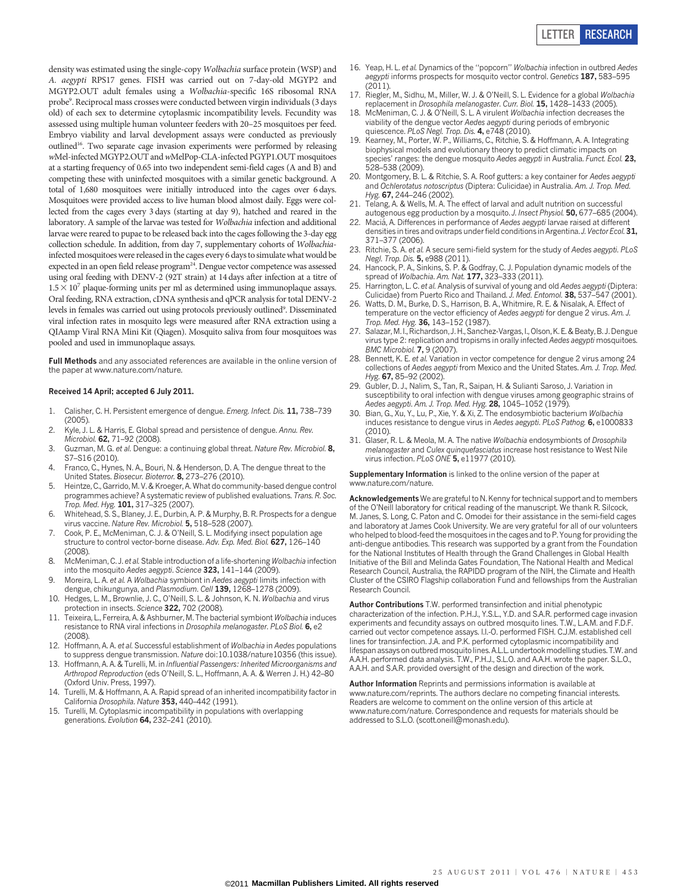density was estimated using the single-copy Wolbachia surface protein (WSP) and A. aegypti RPS17 genes. FISH was carried out on 7-day-old MGYP2 and MGYP2.OUT adult females using a Wolbachia-specific 16S ribosomal RNA probe<sup>9</sup>. Reciprocal mass crosses were conducted between virgin individuals (3 days old) of each sex to determine cytoplasmic incompatibility levels. Fecundity was assessed using multiple human volunteer feeders with 20–25 mosquitoes per feed. Embryo viability and larval development assays were conducted as previously outlined16. Two separate cage invasion experiments were performed by releasing wMel-infected MGYP2.OUT andwMelPop-CLA-infected PGYP1.OUT mosquitoes at a starting frequency of 0.65 into two independent semi-field cages (A and B) and competing these with uninfected mosquitoes with a similar genetic background. A total of 1,680 mosquitoes were initially introduced into the cages over 6 days. Mosquitoes were provided access to live human blood almost daily. Eggs were collected from the cages every 3 days (starting at day 9), hatched and reared in the laboratory. A sample of the larvae was tested for Wolbachia infection and additional larvae were reared to pupae to be released back into the cages following the 3-day egg collection schedule. In addition, from day 7, supplementary cohorts of Wolbachiainfected mosquitoes were released in the cages every 6 days to simulate what would be expected in an open field release program<sup>24</sup>. Dengue vector competence was assessed using oral feeding with DENV-2 (92T strain) at 14 days after infection at a titre of  $1.5 \times 10^7$  plaque-forming units per ml as determined using immunoplaque assays. Oral feeding, RNA extraction, cDNA synthesis and qPCR analysis for total DENV-2 levels in females was carried out using protocols previously outlined<sup>9</sup>. Disseminated viral infection rates in mosquito legs were measured after RNA extraction using a QIAamp Viral RNA Mini Kit (Qiagen). Mosquito saliva from four mosquitoes was pooled and used in immunoplaque assays.

Full Methods and any associated references are available in the online version of the paper at<www.nature.com/nature>.

#### Received 14 April; accepted 6 July 2011.

- 1. Calisher, C. H. Persistent emergence of dengue. Emerg. Infect. Dis. 11, 738–739  $(2005)$
- 2. Kyle, J. L. & Harris, E. Global spread and persistence of dengue. Annu. Rev. Microbiol. 62, 71–92 (2008).
- 3. Guzman, M. G. et al. Dengue: a continuing global threat. Nature Rev. Microbiol. 8, S7–S16 (2010).
- 4. Franco, C., Hynes, N. A., Bouri, N. & Henderson, D. A. The dengue threat to the United States. Biosecur. Bioterror. 8, 273–276 (2010).
- 5. Heintze, C., Garrido, M. V. & Kroeger, A. What do community-based dengue control programmes achieve? A systematic review of published evaluations. Trans. R. Soc. Trop. Med. Hyg. 101, 317–325 (2007).
- 6. Whitehead, S. S., Blaney, J. E., Durbin, A. P. & Murphy, B. R. Prospects for a dengue virus vaccine. Nature Rev. Microbiol. 5, 518-528 (2007).
- 7. Cook, P. E., McMeniman, C. J. & O'Neill, S. L. Modifying insect population age structure to control vector-borne disease. Adv. Exp. Med. Biol. 627, 126-140 (2008).
- 8. McMeniman, C. J. et al. Stable introduction of a life-shortening Wolbachia infection into the mosquito Aedes aegypti. Science 323, 141-144 (2009)
- 9. Moreira, L. A. et al. A Wolbachia symbiont in Aedes aegypti limits infection with dengue, chikungunya, and Plasmodium. Cell 139, 1268-1278 (2009)
- 10. Hedges, L. M., Brownlie, J. C., O'Neill, S. L. & Johnson, K. N. Wolbachia and virus protection in insects. Science 322, 702 (2008).
- 11. Teixeira, L., Ferreira, A. & Ashburner, M. The bacterial symbiont Wolbachia induces resistance to RNA viral infections in Drosophila melanogaster. PLoS Biol. 6, e2  $(2008)$
- 12. Hoffmann, A. A. et al. Successful establishment of Wolbachia in Aedes populations to suppress dengue transmission. Nature doi:10.1038/nature10356 (this issue).
- 13. Hoffmann, A. A. & Turelli, M. in Influential Passengers: Inherited Microorganisms and Arthropod Reproduction (eds O'Neill, S. L., Hoffmann, A. A. & Werren J. H.) 42–80 (Oxford Univ. Press, 1997).
- 14. Turelli, M. & Hoffmann, A. A. Rapid spread of an inherited incompatibility factor in California Drosophila. Nature 353, 440-442 (1991).
- Turelli, M. Cytoplasmic incompatibility in populations with overlapping generations. Evolution 64, 232-241 (2010).
- 16. Yeap, H. L. et al. Dynamics of the ''popcorn'' Wolbachia infection in outbred Aedes aegypti informs prospects for mosquito vector control. Genetics 187, 583-595 (2011).
- 17. Riegler, M., Sidhu, M., Miller, W. J. & O'Neill, S. L. Evidence for a global Wolbachia replacement in Drosophila melanogaster. Curr. Biol. 15, 1428–1433 (2005).
- 18. McMeniman, C. J. & O'Neill, S. L. A virulent Wolbachia infection decreases the viability of the dengue vector Aedes aegypti during periods of embryonic quiescence. PLoS Negl. Trop. Dis. 4, e748 (2010).
- 19. Kearney, M., Porter, W. P., Williams, C., Ritchie, S. & Hoffmann, A. A. Integrating biophysical models and evolutionary theory to predict climatic impacts on species' ranges: the dengue mosquito Aedes aegypti in Australia. Funct. Ecol. 23, 528–538 (2009).
- 20. Montgomery, B. L. & Ritchie, S. A. Roof gutters: a key container for Aedes aegypti and Ochlerotatus notoscriptus (Diptera: Culicidae) in Australia. Am. J. Trop. Med. Hyg. 67, 244-246 (2002).
- 21. Telang, A. & Wells, M. A. The effect of larval and adult nutrition on successful autogenous egg production by a mosquito. J. Insect Physiol. 50, 677-685 (2004).
- 22. Maciá, A. Differences in performance of Aedes aegypti larvae raised at different densities in tires and ovitraps under field conditions in Argentina. J. Vector Ecol. 31, 371–377 (2006).
- 23. Ritchie, S. A. et al. A secure semi-field system for the study of Aedes aegypti. PLoS Negl. Trop. Dis. 5, e988 (2011).
- 24. Hancock, P. A., Sinkins, S. P. & Godfray, C. J. Population dynamic models of the spread of Wolbachia. Am. Nat. 177, 323-333 (2011).
- 25. Harrington, L. C. et al. Analysis of survival of young and old Aedes aegypti (Diptera: Culicidae) from Puerto Rico and Thailand. J. Med. Entomol. 38, 537–547 (2001).
- 26. Watts, D. M., Burke, D. S., Harrison, B. A., Whitmire, R. E. & Nisalak, A. Effect of temperature on the vector efficiency of Aedes aegypti for dengue 2 virus. Am. J. Trop. Med. Hyg. 36, 143–152 (1987).
- 27. Salazar, M. I., Richardson, J. H., Sanchez-Vargas, I., Olson, K. E. & Beaty, B. J. Dengue virus type 2: replication and tropisms in orally infected Aedes aegypti mosquitoes. BMC Microbiol. 7, 9 (2007).
- 28. Bennett, K. E. et al. Variation in vector competence for dengue 2 virus among 24 collections of Aedes aegypti from Mexico and the United States. Am. J. Trop. Med. Hyg. 67, 85–92 (2002).
- 29. Gubler, D. J., Nalim, S., Tan, R., Saipan, H. & Sulianti Saroso, J. Variation in susceptibility to oral infection with dengue viruses among geographic strains of Aedes aegypti. Am. J. Trop. Med. Hyg. 28, 1045-1052 (1979).
- 30. Bian, G., Xu, Y., Lu, P., Xie, Y. & Xi, Z. The endosymbiotic bacterium Wolbachia induces resistance to dengue virus in Aedes aegypti. PLoS Pathog. 6, e1000833 (2010).
- 31. Glaser, R. L. & Meola, M. A. The native Wolbachia endosymbionts of Drosophila melanogaster and Culex quinquefasciatus increase host resistance to West Nile virus infection. PLoS ONE 5, e11977 (2010).

Supplementary Information is linked to the online version of the paper at <www.nature.com/nature>.

Acknowledgements We are grateful to N. Kenny for technical support and to members of the O'Neill laboratory for critical reading of the manuscript. We thank R. Silcock, M. Janes, S. Long, C. Paton and C. Omodei for their assistance in the semi-field cages and laboratory at James Cook University. We are very grateful for all of our volunteers who helped to blood-feed the mosquitoes in the cages and to P. Young for providing the anti-dengue antibodies. This research was supported by a grant from the Foundation for the National Institutes of Health through the Grand Challenges in Global Health Initiative of the Bill and Melinda Gates Foundation, The National Health and Medical Research Council, Australia, the RAPIDD program of the NIH, the Climate and Health Cluster of the CSIRO Flagship collaboration Fund and fellowships from the Australian Research Council.

Author Contributions T.W. performed transinfection and initial phenotypic characterization of the infection. P.H.J., Y.S.L., Y.D. and S.A.R. performed cage invasion experiments and fecundity assays on outbred mosquito lines. T.W., L.A.M. and F.D.F. carried out vector competence assays. I.I.-O. performed FISH. C.J.M. established cell lines for transinfection. J.A. and P.K. performed cytoplasmic incompatibility and lifespan assays on outbred mosquito lines. A.L.L. undertook modelling studies. T.W. and A.A.H. performed data analysis. T.W., P.H.J., S.L.O. and A.A.H. wrote the paper. S.L.O., A.A.H. and S.A.R. provided oversight of the design and direction of the work.

Author Information Reprints and permissions information is available at [www.nature.com/reprints.](www.nature.com/reprints) The authors declare no competing financial interests. Readers are welcome to comment on the online version of this article at <www.nature.com/nature>. Correspondence and requests for materials should be addressed to S.L.O. [\(scott.oneill@monash.edu\).](mailto:scott.oneill@monash.edu)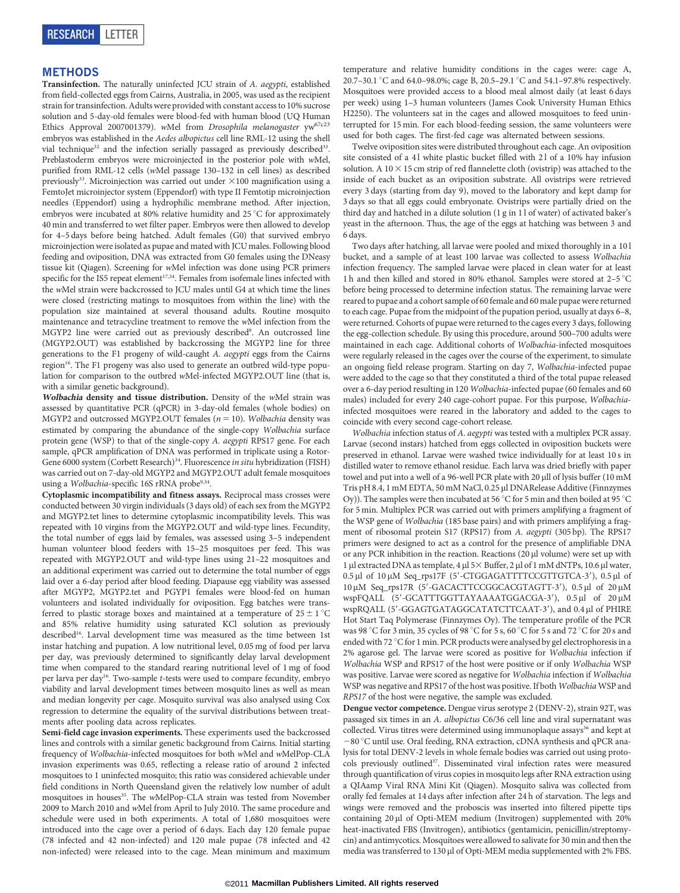## METHODS

Transinfection. The naturally uninfected JCU strain of A. aegypti, established from field-collected eggs from Cairns, Australia, in 2005, was used as the recipient strain for transinfection. Adults were provided with constant access to 10% sucrose solution and 5-day-old females were blood-fed with human blood (UQ Human Ethics Approval 2007001379). wMel from Drosophila melanogaster yw67c23 embryos was established in the Aedes albopictus cell line RML-12 using the shell vial technique<sup>32</sup> and the infection serially passaged as previously described<sup>33</sup>. Preblastoderm embryos were microinjected in the posterior pole with wMel, purified from RML-12 cells (wMel passage 130–132 in cell lines) as described previously<sup>33</sup>. Microinjection was carried out under  $\times$ 100 magnification using a FemtoJet microinjector system (Eppendorf) with type II Femtotip microinjection needles (Eppendorf) using a hydrophilic membrane method. After injection, embryos were incubated at 80% relative humidity and 25 $\degree$ C for approximately 40 min and transferred to wet filter paper. Embryos were then allowed to develop for 4–5 days before being hatched. Adult females (G0) that survived embryo microinjection were isolated as pupae and mated with JCU males. Following blood feeding and oviposition, DNA was extracted from G0 females using the DNeasy tissue kit (Qiagen). Screening for wMel infection was done using PCR primers specific for the IS5 repeat element<sup>17,34</sup>. Females from isofemale lines infected with the wMel strain were backcrossed to JCU males until G4 at which time the lines were closed (restricting matings to mosquitoes from within the line) with the population size maintained at several thousand adults. Routine mosquito maintenance and tetracycline treatment to remove the wMel infection from the MGYP2 line were carried out as previously described<sup>8</sup>. An outcrossed line (MGYP2.OUT) was established by backcrossing the MGYP2 line for three generations to the F1 progeny of wild-caught A. aegypti eggs from the Cairns region<sup>16</sup>. The F1 progeny was also used to generate an outbred wild-type population for comparison to the outbred wMel-infected MGYP2.OUT line (that is, with a similar genetic background).

Wolbachia density and tissue distribution. Density of the wMel strain was assessed by quantitative PCR (qPCR) in 3-day-old females (whole bodies) on MGYP2 and outcrossed MGYP2.OUT females ( $n = 10$ ). Wolbachia density was estimated by comparing the abundance of the single-copy Wolbachia surface protein gene (WSP) to that of the single-copy A. aegypti RPS17 gene. For each sample, qPCR amplification of DNA was performed in triplicate using a Rotor-Gene 6000 system (Corbett Research)<sup>34</sup>. Fluorescence in situ hybridization (FISH) was carried out on 7-day-old MGYP2 and MGYP2.OUT adult female mosquitoes using a Wolbachia-specific 16S rRNA probe<sup>9,34</sup>.

Cytoplasmic incompatibility and fitness assays. Reciprocal mass crosses were conducted between 30 virgin individuals (3 days old) of each sex from the MGYP2 and MGYP2.tet lines to determine cytoplasmic incompatibility levels. This was repeated with 10 virgins from the MGYP2.OUT and wild-type lines. Fecundity, the total number of eggs laid by females, was assessed using 3–5 independent human volunteer blood feeders with 15–25 mosquitoes per feed. This was repeated with MGYP2.OUT and wild-type lines using 21–22 mosquitoes and an additional experiment was carried out to determine the total number of eggs laid over a 6-day period after blood feeding. Diapause egg viability was assessed after MGYP2, MGYP2.tet and PGYP1 females were blood-fed on human volunteers and isolated individually for oviposition. Egg batches were transferred to plastic storage boxes and maintained at a temperature of  $25 \pm 1$  °C and 85% relative humidity using saturated KCl solution as previously described<sup>16</sup>. Larval development time was measured as the time between 1st instar hatching and pupation. A low nutritional level, 0.05 mg of food per larva per day, was previously determined to significantly delay larval development time when compared to the standard rearing nutritional level of 1 mg of food per larva per day16. Two-sample t-tests were used to compare fecundity, embryo viability and larval development times between mosquito lines as well as mean and median longevity per cage. Mosquito survival was also analysed using Cox regression to determine the equality of the survival distributions between treatments after pooling data across replicates.

Semi-field cage invasion experiments. These experiments used the backcrossed lines and controls with a similar genetic background from Cairns. Initial starting frequency of Wolbachia-infected mosquitoes for both wMel and wMelPop-CLA invasion experiments was 0.65, reflecting a release ratio of around 2 infected mosquitoes to 1 uninfected mosquito; this ratio was considered achievable under field conditions in North Queensland given the relatively low number of adult mosquitoes in houses<sup>35</sup>. The wMelPop-CLA strain was tested from November 2009 to March 2010 and wMel from April to July 2010. The same procedure and schedule were used in both experiments. A total of 1,680 mosquitoes were introduced into the cage over a period of 6 days. Each day 120 female pupae (78 infected and 42 non-infected) and 120 male pupae (78 infected and 42 non-infected) were released into to the cage. Mean minimum and maximum

temperature and relative humidity conditions in the cages were: cage A, 20.7–30.1 °C and 64.0–98.0%; cage B, 20.5–29.1 °C and 54.1–97.8% respectively. Mosquitoes were provided access to a blood meal almost daily (at least 6 days per week) using 1–3 human volunteers (James Cook University Human Ethics H2250). The volunteers sat in the cages and allowed mosquitoes to feed uninterrupted for 15 min. For each blood-feeding session, the same volunteers were used for both cages. The first-fed cage was alternated between sessions.

Twelve oviposition sites were distributed throughout each cage. An oviposition site consisted of a 41 white plastic bucket filled with 21 of a 10% hay infusion solution. A  $10 \times 15$  cm strip of red flannelette cloth (ovistrip) was attached to the inside of each bucket as an oviposition substrate. All ovistrips were retrieved every 3 days (starting from day 9), moved to the laboratory and kept damp for 3 days so that all eggs could embryonate. Ovistrips were partially dried on the third day and hatched in a dilute solution (1 g in 1 l of water) of activated baker's yeast in the afternoon. Thus, the age of the eggs at hatching was between 3 and 6 days.

Two days after hatching, all larvae were pooled and mixed thoroughly in a 10 l bucket, and a sample of at least 100 larvae was collected to assess Wolbachia infection frequency. The sampled larvae were placed in clean water for at least 1 h and then killed and stored in 80% ethanol. Samples were stored at 2-5  $^{\circ}$ C before being processed to determine infection status. The remaining larvae were reared to pupae and a cohort sample of 60 female and 60 male pupae were returned to each cage. Pupae from the midpoint of the pupation period, usually at days 6–8, were returned. Cohorts of pupae were returned to the cages every 3 days, following the egg-collection schedule. By using this procedure, around 500–700 adults were maintained in each cage. Additional cohorts of Wolbachia-infected mosquitoes were regularly released in the cages over the course of the experiment, to simulate an ongoing field release program. Starting on day 7, Wolbachia-infected pupae were added to the cage so that they constituted a third of the total pupae released over a 6-day period resulting in 120 Wolbachia-infected pupae (60 females and 60 males) included for every 240 cage-cohort pupae. For this purpose, Wolbachiainfected mosquitoes were reared in the laboratory and added to the cages to coincide with every second cage-cohort release.

Wolbachia infection status of A. aegypti was tested with a multiplex PCR assay. Larvae (second instars) hatched from eggs collected in oviposition buckets were preserved in ethanol. Larvae were washed twice individually for at least 10 s in distilled water to remove ethanol residue. Each larva was dried briefly with paper towel and put into a well of a 96-well PCR plate with 20 µll of lysis buffer (10 mM Tris pH 8.4, 1 mM EDTA, 50 mM NaCl, 0.25 µl DNARelease Additive (Finnzymes Oy)). The samples were then incubated at 56 °C for 5 min and then boiled at 95 °C for 5 min. Multiplex PCR was carried out with primers amplifying a fragment of the WSP gene of Wolbachia (185 base pairs) and with primers amplifying a fragment of ribosomal protein S17 (RPS17) from A. aegypti (305 bp). The RPS17 primers were designed to act as a control for the presence of amplifiable DNA or any PCR inhibition in the reaction. Reactions (20 µl volume) were set up with 1 µl extracted DNA as template, 4 µl 5× Buffer, 2 µl of 1 mM dNTPs, 10.6 µl water,  $0.5 \mu$ l of  $10 \mu$ M Seq\_rps17F (5'-CTGGAGATTTTCCGTTGTCA-3'),  $0.5 \mu$ l of 10 μM Seq\_rps17R (5'-GACACTTCCGGCACGTAGTT-3'), 0.5 μl of 20 μM wspFQALL (5'-GCATTTGGTTAYAAAATGGACGA-3'), 0.5 µl of 20 µM wspRQALL (5'-GGAGTGATAGGCATATCTTCAAT-3'), and 0.4 µl of PHIRE Hot Start Taq Polymerase (Finnzymes Oy). The temperature profile of the PCR was 98 °C for 3 min, 35 cycles of 98 °C for 5 s, 60 °C for 5 s and 72 °C for 20 s and ended with 72 °C for 1 min. PCR products were analysed by gel electrophoresis in a 2% agarose gel. The larvae were scored as positive for Wolbachia infection if Wolbachia WSP and RPS17 of the host were positive or if only Wolbachia WSP was positive. Larvae were scored as negative for Wolbachia infection if Wolbachia WSP was negative and RPS17 of the host was positive. If both Wolbachia WSP and RPS17 of the host were negative, the sample was excluded.

Dengue vector competence. Dengue virus serotype 2 (DENV-2), strain 92T, was passaged six times in an A. albopictus C6/36 cell line and viral supernatant was collected. Virus titres were determined using immunoplaque assays<sup>36</sup> and kept at  $-80$  °C until use. Oral feeding, RNA extraction, cDNA synthesis and qPCR analysis for total DENV-2 levels in whole female bodies was carried out using protocols previously outlined<sup>37</sup>. Disseminated viral infection rates were measured through quantification of virus copies in mosquito legs after RNA extraction using a QIAamp Viral RNA Mini Kit (Qiagen). Mosquito saliva was collected from orally fed females at 14 days after infection after 24 h of starvation. The legs and wings were removed and the proboscis was inserted into filtered pipette tips containing 20 µl of Opti-MEM medium (Invitrogen) supplemented with 20% heat-inactivated FBS (Invitrogen), antibiotics (gentamicin, penicillin/streptomycin) and antimycotics. Mosquitoes were allowed to salivate for 30 min and then the media was transferred to 130 µl of Opti-MEM media supplemented with 2% FBS.